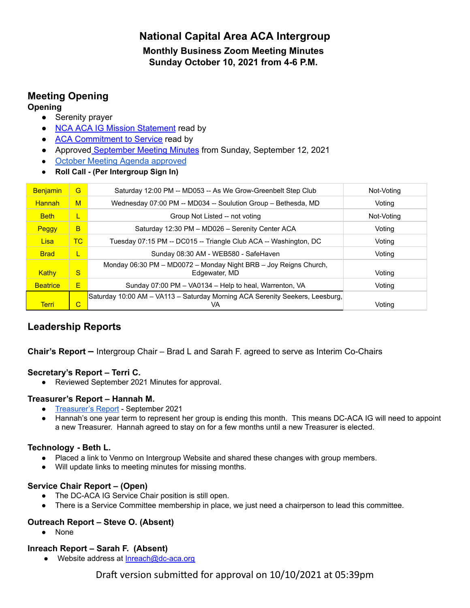# **National Capital Area ACA Intergroup Monthly Business Zoom Meeting Minutes Sunday October 10, 2021 from 4-6 P.M.**

# **Meeting Opening**

#### **Opening**

- **●** Serenity prayer
- **●** NCA ACA IG Mission [Statement](https://docs.google.com/document/d/1B3v57e_bulSl4UCyKt48lksbFwA63CijyEB4lGpiIgM/edit?usp=sharing) read by
- **ACA [Commitment](https://www.dc-aca.org/aca-commitment-to-service) to Service read by**
- **●** Approved [September](https://docs.google.com/document/d/1HGKZxI5GBZdo_CMbzD5_1NikJvur8Ooo/edit?usp=sharing&ouid=104607934255932803641&rtpof=true&sd=true) Meeting Minutes from Sunday, September 12, 2021
- **●** October Meeting Agenda [approved](https://docs.google.com/document/d/1BeVHBdL5e3cN_dk9k0OlINZO9CX_D7sfm9ad0VGjUyU/edit?usp=sharing)
- **● Roll Call - (Per Intergroup Sign In)**

| Benjamin        | G         | Saturday 12:00 PM -- MD053 -- As We Grow-Greenbelt Step Club                       | Not-Voting |
|-----------------|-----------|------------------------------------------------------------------------------------|------------|
| <b>Hannah</b>   | M         | Wednesday 07:00 PM -- MD034 -- Soulution Group - Bethesda, MD                      | Voting     |
| <b>Beth</b>     | L         | Group Not Listed -- not voting                                                     | Not-Voting |
| Peggy           | B         | Saturday 12:30 PM - MD026 - Serenity Center ACA                                    | Voting     |
| Lisa            | <b>TC</b> | Tuesday 07:15 PM -- DC015 -- Triangle Club ACA -- Washington, DC                   | Voting     |
| <b>Brad</b>     | L         | Sunday 08:30 AM - WEB580 - SafeHaven                                               | Voting     |
| Kathy           | S         | Monday 06:30 PM - MD0072 - Monday Night BRB - Joy Reigns Church,<br>Edgewater, MD  | Voting     |
| <b>Beatrice</b> | E         | Sunday 07:00 PM - VA0134 - Help to heal, Warrenton, VA                             | Voting     |
| <b>Terri</b>    | C         | Saturday 10:00 AM – VA113 – Saturday Morning ACA Serenity Seekers, Leesburg,<br>VA | Votina     |

## **Leadership Reports**

**Chair's Report –** Intergroup Chair – Brad L and Sarah F. agreed to serve as Interim Co-Chairs

## **Secretary's Report – Terri C.**

● Reviewed September 2021 [Minutes](https://d.docs.live.net/1a5aa982dcfa11e6/Documents/ACA/ACA%20Minutes%20June%202021.docx) for approval.

## **Treasurer's Report – Hannah M.**

- [Treasurer's](https://docs.google.com/spreadsheets/d/15TON3n8z91s3CeBIPPFwJLQhen7P8NMe/edit?usp=sharing&ouid=104607934255932803641&rtpof=true&sd=true) Report September 2021
- Hannah's one year term to represent her group is ending this month. This means DC-ACA IG will need to appoint a new Treasurer. Hannah agreed to stay on for a few months until a new Treasurer is elected.

## **Technology - Beth L.**

- Placed a link to Venmo on Intergroup Website and shared these changes with group members.
- Will update links to meeting minutes for missing months.

## **Service Chair Report – (Open)**

- **●** The DC-ACA IG Service Chair position is still open.
- **●** There is a Service Committee membership in place, we just need a chairperson to lead this committee.

## **Outreach Report – Steve O. (Absent)**

● None

## **Inreach Report – Sarah F. (Absent)**

● Website address at [Inreach@dc-aca.org](mailto:Inreach@dc-ada.org)

Draft version submitted for approval on 10/10/2021 at 05:39pm